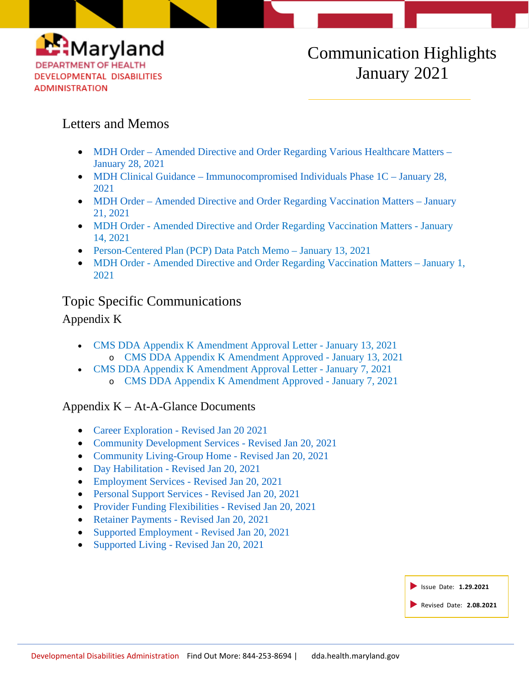

### Letters and Memos

- MDH Order [Amended Directive and Order Regarding Various Healthcare Matters –](https://dda.health.maryland.gov/Documents/COVID%2019%20Documents/Memos%20Guidance/1.29.21/2021.1.28.01%20-%20MDH%20Order%20-%20Amended%20Various%20Health%20Care%20Matters%20Order.pdf) [January 28, 2021](https://dda.health.maryland.gov/Documents/COVID%2019%20Documents/Memos%20Guidance/1.29.21/2021.1.28.01%20-%20MDH%20Order%20-%20Amended%20Various%20Health%20Care%20Matters%20Order.pdf)
- MDH Clinical Guidance [Immunocompromised Individuals Phase 1C](https://dda.health.maryland.gov/Documents/COVID%2019%20Documents/Memos%20Guidance/1.29.21/2021.01.28.B%20-%20MDH%20Clinician%20Guidance%20-%20Immunocompromised%20Individuals%20Phase%201C.pdf) January 28, [2021](https://dda.health.maryland.gov/Documents/COVID%2019%20Documents/Memos%20Guidance/1.29.21/2021.01.28.B%20-%20MDH%20Clinician%20Guidance%20-%20Immunocompromised%20Individuals%20Phase%201C.pdf)
- MDH Order [Amended Directive and Order Regarding Vaccination Matters –](https://phpa.health.maryland.gov/Documents/2021.01.21.01%20-%20MDH%20Order%20-%20Amended%20Vaccination%20Matters%20Order%20(Vaccine%20Wastage).pdf) January [21, 2021](https://phpa.health.maryland.gov/Documents/2021.01.21.01%20-%20MDH%20Order%20-%20Amended%20Vaccination%20Matters%20Order%20(Vaccine%20Wastage).pdf)
- MDH Order Amended Directive and [Order Regarding Vaccination Matters -](https://dda.health.maryland.gov/Documents/COVID%2019%20Documents/Memos%20Guidance/1.15.21/2021.1.14.01%20-%20MDH%20Order-%20Amended%20Vaccination%20Matters%20(Out%20of%20State%20Practitioners).pdf) January [14, 2021](https://dda.health.maryland.gov/Documents/COVID%2019%20Documents/Memos%20Guidance/1.15.21/2021.1.14.01%20-%20MDH%20Order-%20Amended%20Vaccination%20Matters%20(Out%20of%20State%20Practitioners).pdf)
- [Person-Centered Plan \(PCP\) Data Patch Memo –](https://files.constantcontact.com/f401fd14401/630f5b57-2332-4abb-b573-57c83a68f92e.pdf) January 13, 2021
- MDH Order [Amended Directive and Order Regarding Vaccination Matters –](https://phpa.health.maryland.gov/Documents/2021.1.01.01%20-%20MDH%20Order-%20Amended%20Vaccination%20Matters.pdf) January 1, [2021](https://phpa.health.maryland.gov/Documents/2021.1.01.01%20-%20MDH%20Order-%20Amended%20Vaccination%20Matters.pdf)

## Topic Specific Communications

## Appendix K

- [CMS DDA Appendix K Amendment Approval Letter -](https://dda.health.maryland.gov/Documents/COVID%2019%20Documents/Appendix%20K/1.14.21/MD-8%20Combined%20Appendix%20K%20Approval%20Letter%201.13.2021%20%20signed.pdf) January 13, 2021 o [CMS DDA Appendix K Amendment Approved -](https://dda.health.maryland.gov/Documents/COVID%2019%20Documents/Appendix%20K/1.14.21/MD-8%20Combined%20Appendix%20K%201-13-2021.pdf) January 13, 2021
- [CMS DDA Appendix K Amendment Approval Letter -](https://dda.health.maryland.gov/Documents/COVID%2019%20Documents/Appendix%20K/1.14.21/MD%20(1466%201506%200023)%20Appendix%20K%20Approval%20Letter%201-7-2021%20signed.pdf) January 7, 2021 o [CMS DDA Appendix K Amendment Approved -](https://dda.health.maryland.gov/Documents/COVID%2019%20Documents/Appendix%20K/1.14.21/MD%20(1466%201506%200023)%20Appendix%20K%201-7-2021.pdf) January 7, 2021

### Appendix K – At-A-Glance Documents

- Career Exploration [Revised Jan 20 2021](https://dda.health.maryland.gov/Documents/COVID%2019%20Documents/Appendix%20K/At%20A%20Glance%20Documents/At%20a%20Glance%20Document%20Replacements%201.20.21/At%20A%20Glance%20-%20Career%20Exploration%20-%20Revised%20Jan%2020%202021.pdf)
- [Community Development Services -](https://dda.health.maryland.gov/Documents/COVID%2019%20Documents/Appendix%20K/At%20A%20Glance%20Documents/At%20a%20Glance%20Document%20Replacements%201.20.21/At%20A%20Glance%20-%20Community%20Development%20Services%20-%20Revised%20Jan%2020%202021.pdf) Revised Jan 20, 2021
- [Community Living-Group Home -](https://dda.health.maryland.gov/Documents/COVID%2019%20Documents/Appendix%20K/At%20A%20Glance%20Documents/At%20a%20Glance%20Document%20Replacements%201.20.21/At%20A%20Glance%20%20-%20Community%20Living%20Group%20Home%20-%20Revised%20Jan%2020%202021.pdf) Revised Jan 20, 2021
- Day Habilitation [Revised Jan 20, 2021](https://dda.health.maryland.gov/Documents/COVID%2019%20Documents/Appendix%20K/At%20A%20Glance%20Documents/At%20a%20Glance%20Document%20Replacements%201.20.21/At%20A%20Glance%20-%20Day%20Habilitation%20-%20Revised%20Jan%2020%202021.pdf)
- [Employment Services -](https://dda.health.maryland.gov/Documents/COVID%2019%20Documents/Appendix%20K/At%20A%20Glance%20Documents/At%20a%20Glance%20Document%20Replacements%201.20.21/At%20A%20Glance%20-%20Employment%20Services%20-%20Revised%20Jan%2020%202021.pdf) Revised Jan 20, 2021
- [Personal Support Services -](https://dda.health.maryland.gov/Documents/COVID%2019%20Documents/Appendix%20K/At%20A%20Glance%20Documents/At%20a%20Glance%20Document%20Replacements%201.20.21/At%20A%20Glance%20-%20Personal%20Support%20Services%20-%20Revised%20Jan%2020%202021.pdf) Revised Jan 20, 2021
- [Provider Funding Flexibilities -](https://dda.health.maryland.gov/Documents/COVID%2019%20Documents/Appendix%20K/At%20A%20Glance%20Documents/At%20a%20Glance%20Document%20Replacements%201.20.21/At%20A%20Glance%20-%20Provider%20Funding%20Flexibilities%20-%20Revised%20Jan%2020%202021.pdf) Revised Jan 20, 2021
- Retainer Payments [Revised Jan 20, 2021](https://dda.health.maryland.gov/Documents/COVID%2019%20Documents/Appendix%20K/At%20A%20Glance%20Documents/At%20a%20Glance%20Document%20Replacements%201.20.21/At%20A%20Glance%20-%20Retainer%20Payments%20-%20Revised%20Jan%2020%202021.pdf)
- [Supported Employment -](https://dda.health.maryland.gov/Documents/COVID%2019%20Documents/Appendix%20K/At%20A%20Glance%20Documents/At%20a%20Glance%20Document%20Replacements%201.20.21/At%20A%20Glance%20-Supported%20Employment%20-%20Revised%20Jan%2020%202021.pdf) Revised Jan 20, 2021
- Supported Living [Revised Jan 20, 2021](https://dda.health.maryland.gov/Documents/COVID%2019%20Documents/Appendix%20K/At%20A%20Glance%20Documents/At%20a%20Glance%20Document%20Replacements%201.20.21/At%20A%20Glance%20-%20Supported%20Living%20-%20Revised%20Jan%2020%202021.pdf)

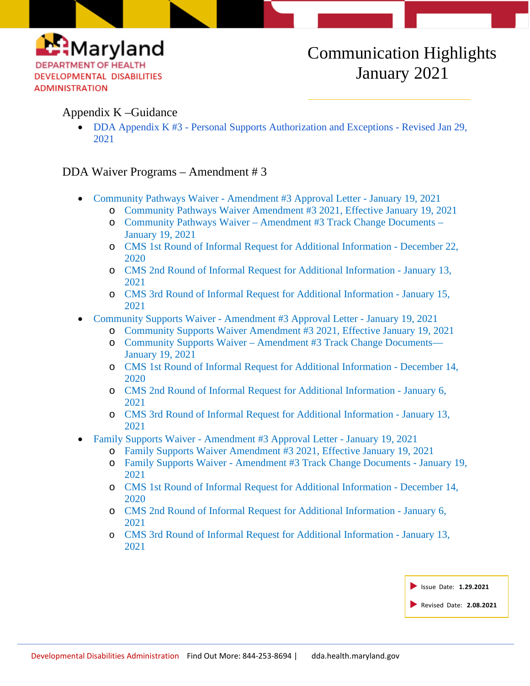

#### Appendix K –Guidance

• DDA Appendix K #3 - [Personal Supports Authorization and Exceptions -](https://dda.health.maryland.gov/Documents/COVID%2019%20Documents/Appendix%20K/1.29.21/DDA%20Appendix%20K%203-%20Personal%20Supports%20Authorization%20and%20Expectations%20-%20Revised%20January%2029%202021.pdf) Revised Jan 29, [2021](https://dda.health.maryland.gov/Documents/COVID%2019%20Documents/Appendix%20K/1.29.21/DDA%20Appendix%20K%203-%20Personal%20Supports%20Authorization%20and%20Expectations%20-%20Revised%20January%2029%202021.pdf)

#### DDA Waiver Programs – Amendment # 3

- Community Pathways Waiver [Amendment #3 Approval Letter -](https://dda.health.maryland.gov/Documents/Waiver%20Documents/Community%20Pathways%20Waiver/MD%200023.R07.05%20Approval%20Letter%20SIGNED%201-19-2021.pdf) January 19, 2021
	- o [Community Pathways Waiver Amendment #3 2021, Effective January 19, 2021](https://dda.health.maryland.gov/Documents/Waiver%20Documents/Community%20Pathways%20Waiver/CPW%20Amendment%203%20effective%20011921.PDF)
	- o Community Pathways Waiver [Amendment #3 Track Change Documents –](https://dda.health.maryland.gov/Pages/Community_Pathways_Waiver_Amendment_3_2020.aspx) [January 19, 2021](https://dda.health.maryland.gov/Pages/Community_Pathways_Waiver_Amendment_3_2020.aspx)
	- o [CMS 1st Round of Informal Request for Additional Information -](https://dda.health.maryland.gov/Documents/Waiver%20Documents/Community%20Pathways%20Waiver/CMS%201st%20Round%20-%20MDH%20response%20to%20MD%200023.R07.05%20%20questions%20to%20the%20state%2012-14-2020.pdf) December 22, [2020](https://dda.health.maryland.gov/Documents/Waiver%20Documents/Community%20Pathways%20Waiver/CMS%201st%20Round%20-%20MDH%20response%20to%20MD%200023.R07.05%20%20questions%20to%20the%20state%2012-14-2020.pdf)
	- o CMS 2nd [Round of Informal Request for Additional Information -](https://dda.health.maryland.gov/Documents/Waiver%20Documents/Community%20Pathways%20Waiver/CMS%202nd%20Round%20of%20IRAI-%20MD%200023.R07.05%2001.06.2021.pdf) January 13, [2021](https://dda.health.maryland.gov/Documents/Waiver%20Documents/Community%20Pathways%20Waiver/CMS%202nd%20Round%20of%20IRAI-%20MD%200023.R07.05%2001.06.2021.pdf)
	- o CMS 3rd [Round of Informal Request for Additional Information -](https://dda.health.maryland.gov/Documents/Waiver%20Documents/Community%20Pathways%20Waiver/CMS%203rd%20Round%20Email%20Questions%201-13-2021%20(2).pdf) January 15, [2021](https://dda.health.maryland.gov/Documents/Waiver%20Documents/Community%20Pathways%20Waiver/CMS%203rd%20Round%20Email%20Questions%201-13-2021%20(2).pdf)
- Community Supports Waiver [Amendment #3 Approval Letter -](https://dda.health.maryland.gov/Documents/Waiver%20Documents/Community%20Supports%20Waiver/1.20.21/MD%201466.R01.04%20and%201506.R01.04%20Approval%20SIGNED.pdf) January 19, 2021
	- o [Community Supports Waiver Amendment #3 2021, Effective January 19,](https://dda.health.maryland.gov/Documents/Waiver%20Documents/Community%20Supports%20Waiver/1.20.21/Community%20Supports%20Waiver%20-%20Amendment%203%20eff%201.19.21.PDF) 2021
	- o Community Supports Waiver [Amendment #3 Track Change Documents—](https://dda.health.maryland.gov/Pages/Community_Supports_Waiver_Amendment_3_2020.aspx) [January 19, 2021](https://dda.health.maryland.gov/Pages/Community_Supports_Waiver_Amendment_3_2020.aspx)
	- o [CMS 1st Round of Informal Request for Additional Information -](https://dda.health.maryland.gov/Documents/Waiver%20Documents/Community%20Supports%20Waiver/1.20.21/CMS%201st%20Round%20-%20MDH%20Response%20-%20MD%201506.R01.04%20%20questions%20to%20the%20state%2012-14-2020.pdf) December 14, [2020](https://dda.health.maryland.gov/Documents/Waiver%20Documents/Community%20Supports%20Waiver/1.20.21/CMS%201st%20Round%20-%20MDH%20Response%20-%20MD%201506.R01.04%20%20questions%20to%20the%20state%2012-14-2020.pdf)
	- o CMS 2nd [Round of Informal Request for Additional Information -](https://dda.health.maryland.gov/Documents/Waiver%20Documents/Community%20Supports%20Waiver/1.20.21/CMS%202nd%20Round%20of%20IRAI-%20MD%201506.R01.04%201-6-2021.pdf) January 6, [2021](https://dda.health.maryland.gov/Documents/Waiver%20Documents/Community%20Supports%20Waiver/1.20.21/CMS%202nd%20Round%20of%20IRAI-%20MD%201506.R01.04%201-6-2021.pdf)
	- o CMS 3rd [Round of Informal Request for Additional Information -](https://dda.health.maryland.gov/Documents/Waiver%20Documents/Community%20Supports%20Waiver/1.20.21/CMS%203rd%20Round%20Email%20Questions%201-13-2021%20(1).pdf) January 13, [2021](https://dda.health.maryland.gov/Documents/Waiver%20Documents/Community%20Supports%20Waiver/1.20.21/CMS%203rd%20Round%20Email%20Questions%201-13-2021%20(1).pdf)
- Family Supports Waiver [Amendment #3 Approval Letter -](https://dda.health.maryland.gov/Documents/Waiver%20Documents/Family%20Supports%20Waiver/1.20.21/MD%201466.R01.04%20and%201506.R01.04%20Approval%20SIGNED%201-19-2021.pdf) January 19, 2021
	- o [Family Supports Waiver Amendment #3 2021, Effective January 19, 2021](https://dda.health.maryland.gov/Documents/Waiver%20Documents/Family%20Supports%20Waiver/1.20.21/Family%20Supports%20Waiver%20-%20Amendment%203%20eff%201.19.21.PDF)
	- o Family Supports Waiver [Amendment #3 Track Change Documents -](https://dda.health.maryland.gov/Pages/Family_Supports_Waiver_Amendment_3_2020.aspx) January 19, [2021](https://dda.health.maryland.gov/Pages/Family_Supports_Waiver_Amendment_3_2020.aspx)
	- o [CMS 1st Round of Informal Request for Additional Information -](https://dda.health.maryland.gov/Documents/Waiver%20Documents/Family%20Supports%20Waiver/1.20.21/CMS%201str%20round%20-%20MDH%20Response%20for%20MD%201466.R01.04%20%20questions%20to%20the%20state%2012-14-2020.pdf) December 14, [2020](https://dda.health.maryland.gov/Documents/Waiver%20Documents/Family%20Supports%20Waiver/1.20.21/CMS%201str%20round%20-%20MDH%20Response%20for%20MD%201466.R01.04%20%20questions%20to%20the%20state%2012-14-2020.pdf)
	- o [CMS 2nd Round of Informal Request for Additional Information -](https://dda.health.maryland.gov/Documents/Waiver%20Documents/Family%20Supports%20Waiver/1.20.21/CMS%202nd%20round%20of%20IRAI-%20MD%201466.R01.04%201-6-2021.pdf) January 6, [2021](https://dda.health.maryland.gov/Documents/Waiver%20Documents/Family%20Supports%20Waiver/1.20.21/CMS%202nd%20round%20of%20IRAI-%20MD%201466.R01.04%201-6-2021.pdf)
	- o [CMS 3rd Round of Informal Request for Additional Information -](https://dda.health.maryland.gov/Documents/Waiver%20Documents/Family%20Supports%20Waiver/1.20.21/CMS%203rd%20round%20Email%20Questions%201-13-2021.pdf) January 13, [2021](https://dda.health.maryland.gov/Documents/Waiver%20Documents/Family%20Supports%20Waiver/1.20.21/CMS%203rd%20round%20Email%20Questions%201-13-2021.pdf)

| Sissue Date: 1.29.2021  |
|-------------------------|
| Revised Date: 2.08.2021 |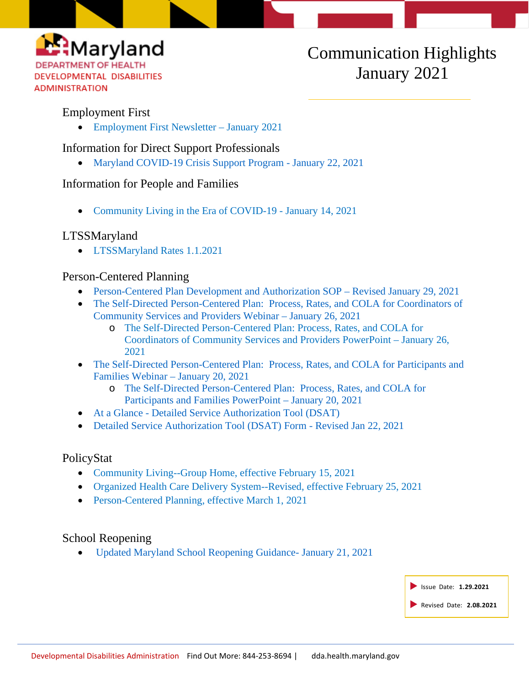

#### Employment First

• [Employment First Newsletter –](https://conta.cc/3awdcH2) January 2021

Information for Direct Support Professionals

• [Maryland COVID-19 Crisis Support Program -](https://dda.health.maryland.gov/Documents/COVID%2019%20Documents/Information%20for%20DSP/MIEMSS-BHA%20one%20pager_2021.pdf) January 22, 2021

#### Information for People and Families

• [Community Living in the Era of COVID-19 -](https://dda.health.maryland.gov/Documents/COVID%2019%20Documents/Information%20for%20People%20and%20Families/1.14.21/NCAPPS_CommunityLiving_PandemicLifeBlog_Final.pdf) January 14, 2021

#### LTSSMaryland

• [LTSSMaryland Rates 1.1.2021](https://dda.health.maryland.gov/Documents/LTSS%20Page/LTSS%20Rate%20Chart%20010121v2.zip)

#### Person-Centered Planning

- [Person-Centered Plan Development and Authorization SOP –](https://dda.health.maryland.gov/Documents/Person-Centered%20Planning/1.29.21/DDA%20-%20PCP%20Development%20and%20Authorization%20-%20Revised%20Jan%2029%202021.pdf) Revised January 29, 2021
- The Self-Directed Person-Centered Plan: Process, Rates, and COLA for Coordinators of [Community Services and Providers Webinar –](https://youtu.be/85IJBNeP87M) January 26, 2021
	- o [The Self-Directed Person-Centered Plan: Process, Rates, and COLA for](https://dda.health.maryland.gov/Documents/Person-Centered%20Planning/1.27.21/DDA%20Webinar%20-%20Self-Directed%20Person-Centered%20Plan%20Budgets%20Jan%2026th%20and%2027th%202021%20-%20Final.pdf)  [Coordinators of Community Services and Providers PowerPoint –](https://dda.health.maryland.gov/Documents/Person-Centered%20Planning/1.27.21/DDA%20Webinar%20-%20Self-Directed%20Person-Centered%20Plan%20Budgets%20Jan%2026th%20and%2027th%202021%20-%20Final.pdf) January 26, [2021](https://dda.health.maryland.gov/Documents/Person-Centered%20Planning/1.27.21/DDA%20Webinar%20-%20Self-Directed%20Person-Centered%20Plan%20Budgets%20Jan%2026th%20and%2027th%202021%20-%20Final.pdf)
- [The Self-Directed Person-Centered Plan: Process, Rates, and COLA for Participants and](https://www.youtube.com/watch?v=RmdqLF2rSpQ&feature=youtu.be)  [Families Webinar –](https://www.youtube.com/watch?v=RmdqLF2rSpQ&feature=youtu.be) January 20, 2021
	- o [The Self-Directed Person-Centered Plan: Process, Rates, and COLA for](https://dda.health.maryland.gov/Documents/Person-Centered%20Planning/1.22.21/The%20Self%20Directed%20Person%20Centered%20Plan%20Process%20Rates%20and%20COLA%20for%20Participants%20and%20Families%20FINAL%201.20.2021.pdf)  [Participants and Families PowerPoint –](https://dda.health.maryland.gov/Documents/Person-Centered%20Planning/1.22.21/The%20Self%20Directed%20Person%20Centered%20Plan%20Process%20Rates%20and%20COLA%20for%20Participants%20and%20Families%20FINAL%201.20.2021.pdf) January 20, 2021
- At a Glance [Detailed Service Authorization Tool \(DSAT\)](https://dda.health.maryland.gov/Documents/Person-Centered%20Planning/1.21.21/At%20A%20Glance%20-%20DSAT%201-22-2021.pdf)
- [Detailed Service Authorization Tool \(DSAT\) Form -](https://dda.health.maryland.gov/Documents/Person-Centered%20Planning/1.21.21/DetailedServiceAuthorizationTool_Revised%201222021.zip) Revised Jan 22, 2021

#### PolicyStat

- [Community Living--Group Home, effective February 15, 2021](https://dhmh.policystat.com/policy/9027932/latest/)
- [Organized Health Care Delivery System-](https://dhmh.policystat.com/policy/9005272/latest/?z=eyJpIjogNn0)-Revised, effective February 25, 2021
- [Person-Centered Planning,](https://dhmh.policystat.com/policy/9133788/latest/) effective March 1, 2021

#### School Reopening

• Updated [Maryland School Reopening Guidance-](https://governor.maryland.gov/wp-content/uploads/2021/01/MD-School-Reopening-Guidance.pdf) January 21, 2021

| Issue Date: 1.29.2021 |                         |
|-----------------------|-------------------------|
|                       | Revised Date: 2.08.2021 |